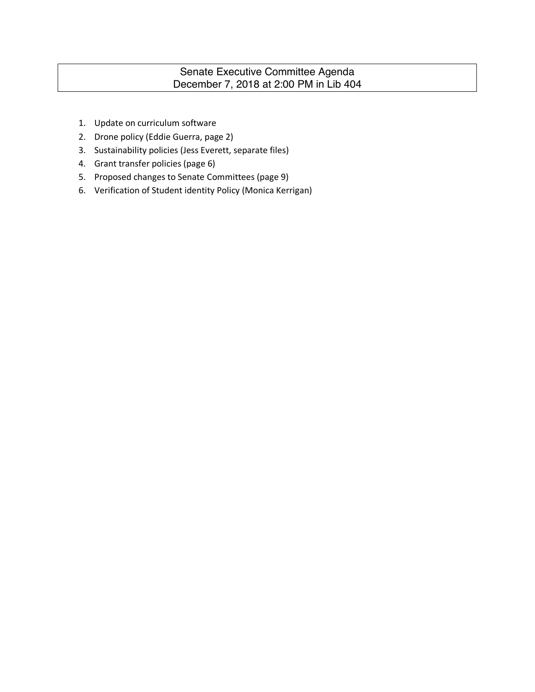# Senate Executive Committee Agenda December 7, 2018 at 2:00 PM in Lib 404

- 1. Update on curriculum software
- 2. Drone policy (Eddie Guerra, page 2)
- 3. Sustainability policies (Jess Everett, separate files)
- 4. Grant transfer policies (page 6)
- 5. Proposed changes to Senate Committees (page 9)
- 6. Verification of Student identity Policy (Monica Kerrigan)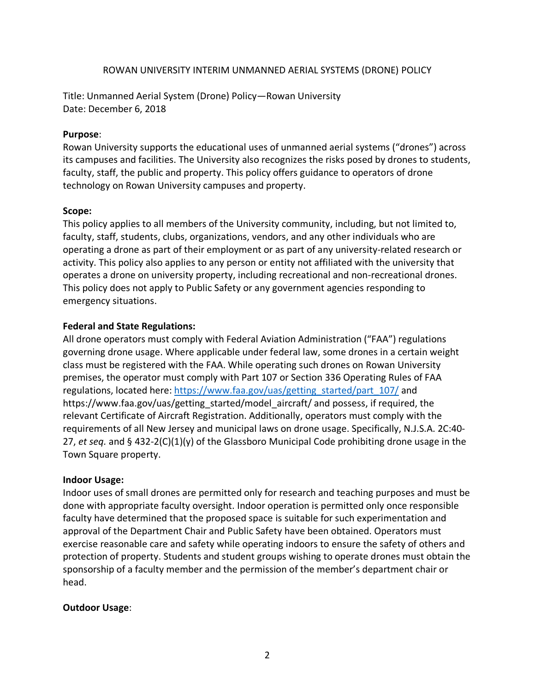### ROWAN UNIVERSITY INTERIM UNMANNED AERIAL SYSTEMS (DRONE) POLICY

Title: Unmanned Aerial System (Drone) Policy—Rowan University Date: December 6, 2018

### **Purpose**:

Rowan University supports the educational uses of unmanned aerial systems ("drones") across its campuses and facilities. The University also recognizes the risks posed by drones to students, faculty, staff, the public and property. This policy offers guidance to operators of drone technology on Rowan University campuses and property.

### **Scope:**

This policy applies to all members of the University community, including, but not limited to, faculty, staff, students, clubs, organizations, vendors, and any other individuals who are operating a drone as part of their employment or as part of any university-related research or activity. This policy also applies to any person or entity not affiliated with the university that operates a drone on university property, including recreational and non-recreational drones. This policy does not apply to Public Safety or any government agencies responding to emergency situations.

### **Federal and State Regulations:**

All drone operators must comply with Federal Aviation Administration ("FAA") regulations governing drone usage. Where applicable under federal law, some drones in a certain weight class must be registered with the FAA. While operating such drones on Rowan University premises, the operator must comply with Part 107 or Section 336 Operating Rules of FAA regulations, located here: https://www.faa.gov/uas/getting\_started/part\_107/ and https://www.faa.gov/uas/getting\_started/model\_aircraft/ and possess, if required, the relevant Certificate of Aircraft Registration. Additionally, operators must comply with the requirements of all New Jersey and municipal laws on drone usage. Specifically, N.J.S.A. 2C:40- 27, *et seq.* and § 432-2(C)(1)(y) of the Glassboro Municipal Code prohibiting drone usage in the Town Square property.

### **Indoor Usage:**

Indoor uses of small drones are permitted only for research and teaching purposes and must be done with appropriate faculty oversight. Indoor operation is permitted only once responsible faculty have determined that the proposed space is suitable for such experimentation and approval of the Department Chair and Public Safety have been obtained. Operators must exercise reasonable care and safety while operating indoors to ensure the safety of others and protection of property. Students and student groups wishing to operate drones must obtain the sponsorship of a faculty member and the permission of the member's department chair or head.

### **Outdoor Usage**: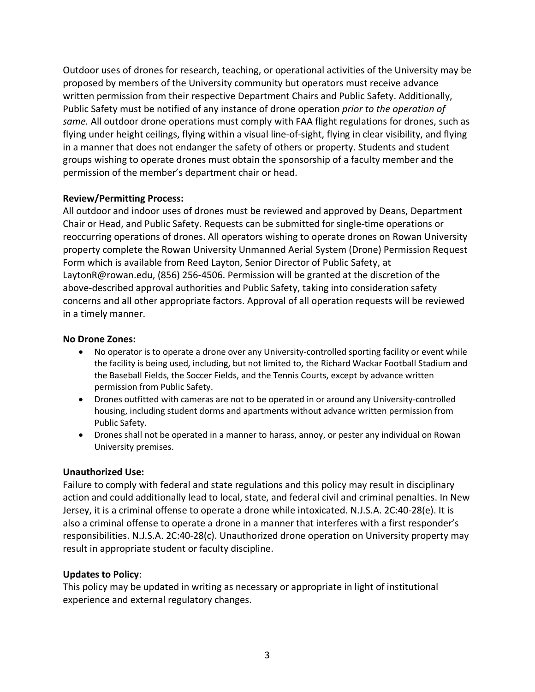Outdoor uses of drones for research, teaching, or operational activities of the University may be proposed by members of the University community but operators must receive advance written permission from their respective Department Chairs and Public Safety. Additionally, Public Safety must be notified of any instance of drone operation *prior to the operation of same.* All outdoor drone operations must comply with FAA flight regulations for drones, such as flying under height ceilings, flying within a visual line-of-sight, flying in clear visibility, and flying in a manner that does not endanger the safety of others or property. Students and student groups wishing to operate drones must obtain the sponsorship of a faculty member and the permission of the member's department chair or head.

# **Review/Permitting Process:**

All outdoor and indoor uses of drones must be reviewed and approved by Deans, Department Chair or Head, and Public Safety. Requests can be submitted for single-time operations or reoccurring operations of drones. All operators wishing to operate drones on Rowan University property complete the Rowan University Unmanned Aerial System (Drone) Permission Request Form which is available from Reed Layton, Senior Director of Public Safety, at LaytonR@rowan.edu, (856) 256-4506. Permission will be granted at the discretion of the above-described approval authorities and Public Safety, taking into consideration safety concerns and all other appropriate factors. Approval of all operation requests will be reviewed in a timely manner.

# **No Drone Zones:**

- No operator is to operate a drone over any University-controlled sporting facility or event while the facility is being used, including, but not limited to, the Richard Wackar Football Stadium and the Baseball Fields, the Soccer Fields, and the Tennis Courts, except by advance written permission from Public Safety.
- Drones outfitted with cameras are not to be operated in or around any University-controlled housing, including student dorms and apartments without advance written permission from Public Safety.
- Drones shall not be operated in a manner to harass, annoy, or pester any individual on Rowan University premises.

# **Unauthorized Use:**

Failure to comply with federal and state regulations and this policy may result in disciplinary action and could additionally lead to local, state, and federal civil and criminal penalties. In New Jersey, it is a criminal offense to operate a drone while intoxicated. N.J.S.A. 2C:40-28(e). It is also a criminal offense to operate a drone in a manner that interferes with a first responder's responsibilities. N.J.S.A. 2C:40-28(c). Unauthorized drone operation on University property may result in appropriate student or faculty discipline.

# **Updates to Policy**:

This policy may be updated in writing as necessary or appropriate in light of institutional experience and external regulatory changes.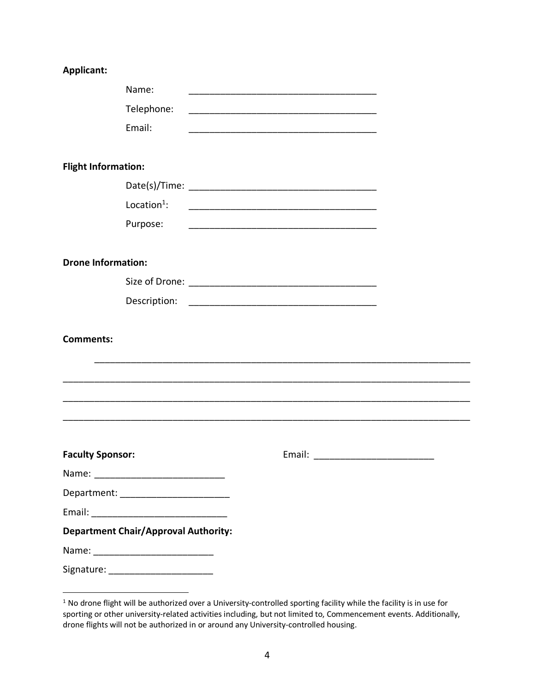| Applicant:                 |                                             |  |
|----------------------------|---------------------------------------------|--|
|                            | Name:                                       |  |
|                            | Telephone:                                  |  |
|                            | Email:                                      |  |
|                            |                                             |  |
| <b>Flight Information:</b> |                                             |  |
|                            |                                             |  |
|                            | Location $1$ :                              |  |
|                            | Purpose:                                    |  |
|                            |                                             |  |
| <b>Drone Information:</b>  |                                             |  |
|                            |                                             |  |
|                            |                                             |  |
|                            |                                             |  |
| <b>Comments:</b>           |                                             |  |
|                            |                                             |  |
|                            |                                             |  |
|                            |                                             |  |
|                            |                                             |  |
|                            |                                             |  |
| <b>Faculty Sponsor:</b>    |                                             |  |
|                            |                                             |  |
|                            |                                             |  |
|                            |                                             |  |
|                            | <b>Department Chair/Approval Authority:</b> |  |
|                            |                                             |  |
|                            | Signature: _________________________        |  |

<sup>&</sup>lt;sup>1</sup> No drone flight will be authorized over a University-controlled sporting facility while the facility is in use for sporting or other university-related activities including, but not limited to, Commencement events. Additionally, drone flights will not be authorized in or around any University-controlled housing.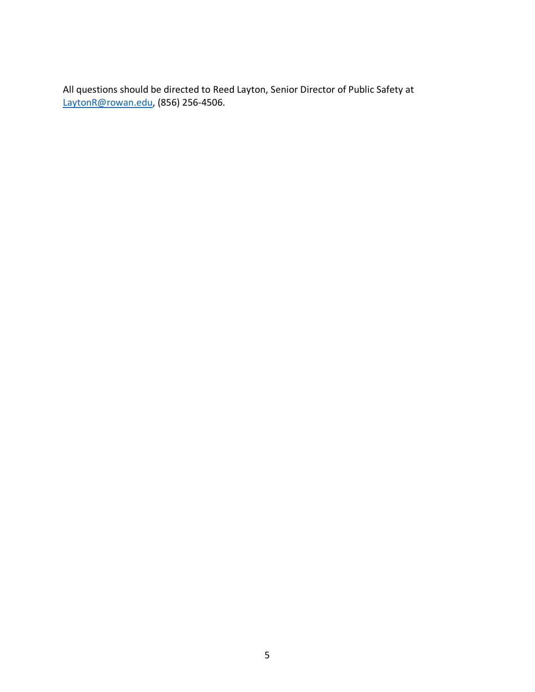All questions should be directed to Reed Layton, Senior Director of Public Safety at LaytonR@rowan.edu, (856) 256-4506.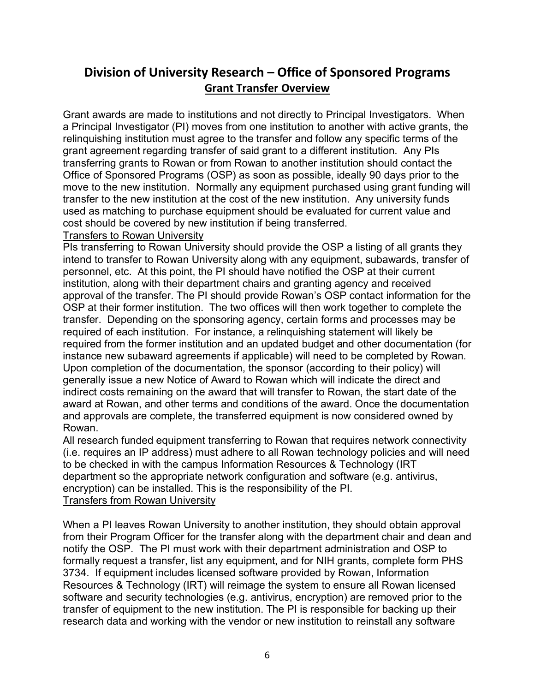# **Division of University Research – Office of Sponsored Programs Grant Transfer Overview**

Grant awards are made to institutions and not directly to Principal Investigators. When a Principal Investigator (PI) moves from one institution to another with active grants, the relinquishing institution must agree to the transfer and follow any specific terms of the grant agreement regarding transfer of said grant to a different institution. Any PIs transferring grants to Rowan or from Rowan to another institution should contact the Office of Sponsored Programs (OSP) as soon as possible, ideally 90 days prior to the move to the new institution. Normally any equipment purchased using grant funding will transfer to the new institution at the cost of the new institution. Any university funds used as matching to purchase equipment should be evaluated for current value and cost should be covered by new institution if being transferred.

# Transfers to Rowan University

PIs transferring to Rowan University should provide the OSP a listing of all grants they intend to transfer to Rowan University along with any equipment, subawards, transfer of personnel, etc. At this point, the PI should have notified the OSP at their current institution, along with their department chairs and granting agency and received approval of the transfer. The PI should provide Rowan's OSP contact information for the OSP at their former institution. The two offices will then work together to complete the transfer. Depending on the sponsoring agency, certain forms and processes may be required of each institution. For instance, a relinquishing statement will likely be required from the former institution and an updated budget and other documentation (for instance new subaward agreements if applicable) will need to be completed by Rowan. Upon completion of the documentation, the sponsor (according to their policy) will generally issue a new Notice of Award to Rowan which will indicate the direct and indirect costs remaining on the award that will transfer to Rowan, the start date of the award at Rowan, and other terms and conditions of the award. Once the documentation and approvals are complete, the transferred equipment is now considered owned by Rowan.

All research funded equipment transferring to Rowan that requires network connectivity (i.e. requires an IP address) must adhere to all Rowan technology policies and will need to be checked in with the campus Information Resources & Technology (IRT department so the appropriate network configuration and software (e.g. antivirus, encryption) can be installed. This is the responsibility of the PI. Transfers from Rowan University

When a PI leaves Rowan University to another institution, they should obtain approval from their Program Officer for the transfer along with the department chair and dean and notify the OSP. The PI must work with their department administration and OSP to formally request a transfer, list any equipment, and for NIH grants, complete form PHS 3734. If equipment includes licensed software provided by Rowan, Information Resources & Technology (IRT) will reimage the system to ensure all Rowan licensed software and security technologies (e.g. antivirus, encryption) are removed prior to the transfer of equipment to the new institution. The PI is responsible for backing up their research data and working with the vendor or new institution to reinstall any software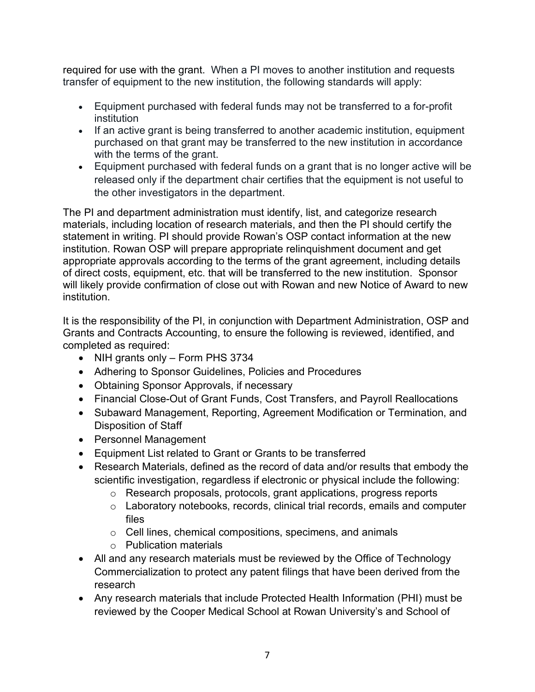required for use with the grant. When a PI moves to another institution and requests transfer of equipment to the new institution, the following standards will apply:

- Equipment purchased with federal funds may not be transferred to a for-profit institution
- If an active grant is being transferred to another academic institution, equipment purchased on that grant may be transferred to the new institution in accordance with the terms of the grant.
- Equipment purchased with federal funds on a grant that is no longer active will be released only if the department chair certifies that the equipment is not useful to the other investigators in the department.

The PI and department administration must identify, list, and categorize research materials, including location of research materials, and then the PI should certify the statement in writing. PI should provide Rowan's OSP contact information at the new institution. Rowan OSP will prepare appropriate relinquishment document and get appropriate approvals according to the terms of the grant agreement, including details of direct costs, equipment, etc. that will be transferred to the new institution. Sponsor will likely provide confirmation of close out with Rowan and new Notice of Award to new institution.

It is the responsibility of the PI, in conjunction with Department Administration, OSP and Grants and Contracts Accounting, to ensure the following is reviewed, identified, and completed as required:

- NIH grants only Form PHS 3734
- Adhering to Sponsor Guidelines, Policies and Procedures
- Obtaining Sponsor Approvals, if necessary
- Financial Close-Out of Grant Funds, Cost Transfers, and Payroll Reallocations
- Subaward Management, Reporting, Agreement Modification or Termination, and Disposition of Staff
- Personnel Management
- Equipment List related to Grant or Grants to be transferred
- Research Materials, defined as the record of data and/or results that embody the scientific investigation, regardless if electronic or physical include the following:
	- o Research proposals, protocols, grant applications, progress reports
	- o Laboratory notebooks, records, clinical trial records, emails and computer files
	- o Cell lines, chemical compositions, specimens, and animals
	- o Publication materials
- All and any research materials must be reviewed by the Office of Technology Commercialization to protect any patent filings that have been derived from the research
- Any research materials that include Protected Health Information (PHI) must be reviewed by the Cooper Medical School at Rowan University's and School of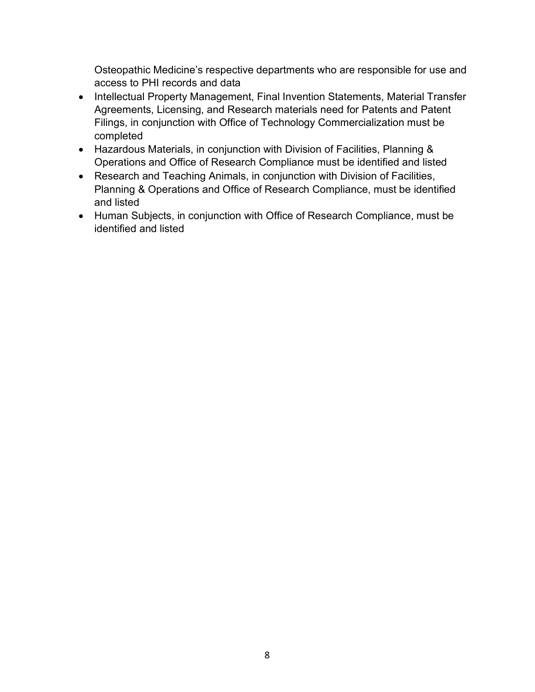Osteopathic Medicine's respective departments who are responsible for use and access to PHI records and data

- Intellectual Property Management, Final Invention Statements, Material Transfer Agreements, Licensing, and Research materials need for Patents and Patent Filings, in conjunction with Office of Technology Commercialization must be completed
- Hazardous Materials, in conjunction with Division of Facilities, Planning & Operations and Office of Research Compliance must be identified and listed
- Research and Teaching Animals, in conjunction with Division of Facilities, Planning & Operations and Office of Research Compliance, must be identified and listed
- Human Subjects, in conjunction with Office of Research Compliance, must be identified and listed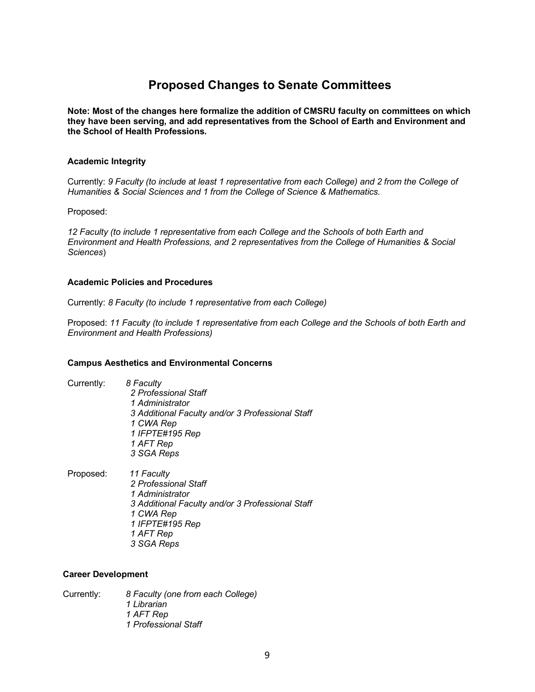# **Proposed Changes to Senate Committees**

**Note: Most of the changes here formalize the addition of CMSRU faculty on committees on which they have been serving, and add representatives from the School of Earth and Environment and the School of Health Professions.**

#### **Academic Integrity**

Currently: *9 Faculty (to include at least 1 representative from each College) and 2 from the College of Humanities & Social Sciences and 1 from the College of Science & Mathematics.*

Proposed:

*12 Faculty (to include 1 representative from each College and the Schools of both Earth and Environment and Health Professions, and 2 representatives from the College of Humanities & Social Sciences*)

#### **Academic Policies and Procedures**

Currently: *8 Faculty (to include 1 representative from each College)*

Proposed: *11 Faculty (to include 1 representative from each College and the Schools of both Earth and Environment and Health Professions)*

#### **Campus Aesthetics and Environmental Concerns**

| Currently: | 8 Faculty                                        |
|------------|--------------------------------------------------|
|            | 2 Professional Staff                             |
|            | 1 Administrator                                  |
|            | 3 Additional Faculty and/or 3 Professional Staff |
|            | 1 CWA Rep                                        |
|            | 1 IFPTE#195 Rep                                  |
|            | 1 AFT Rep                                        |
|            | 3 SGA Reps                                       |
| Proposed:  | 11 Faculty                                       |
|            | 2 Professional Staff                             |
|            |                                                  |
|            | 1 Administrator                                  |

*1 Administrator 3 Additional Faculty and/or 3 Professional Staff 1 CWA Rep 1 IFPTE#195 Rep 1 AFT Rep 3 SGA Reps*

#### **Career Development**

Currently: *8 Faculty (one from each College)*

*1 Librarian 1 AFT Rep 1 Professional Staff*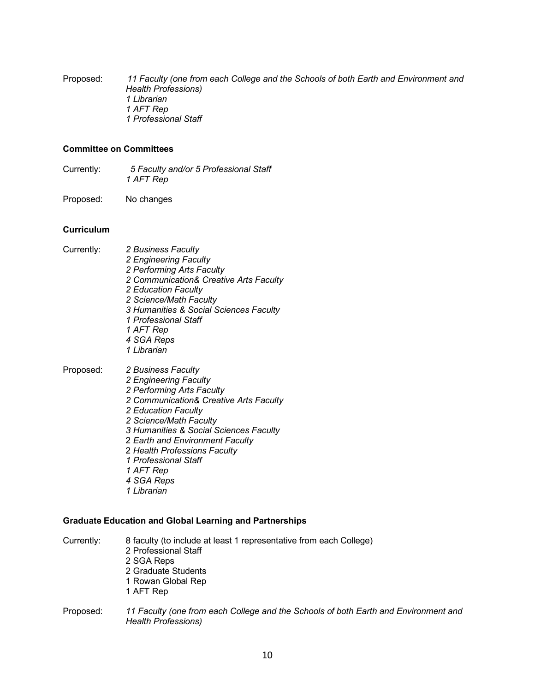Proposed: *11 Faculty (one from each College and the Schools of both Earth and Environment and Health Professions) 1 Librarian 1 AFT Rep 1 Professional Staff*

#### **Committee on Committees**

Currently: *5 Faculty and/or 5 Professional Staff 1 AFT Rep*

Proposed: No changes

#### **Curriculum**

Currently: *2 Business Faculty 2 Engineering Faculty 2 Performing Arts Faculty 2 Communication& Creative Arts Faculty 2 Education Faculty 2 Science/Math Faculty 3 Humanities & Social Sciences Faculty 1 Professional Staff 1 AFT Rep 4 SGA Reps 1 Librarian* Proposed: *2 Business Faculty*

*2 Engineering Faculty 2 Performing Arts Faculty 2 Communication& Creative Arts Faculty 2 Education Faculty 2 Science/Math Faculty 3 Humanities & Social Sciences Faculty* 2 *Earth and Environment Faculty* 2 *Health Professions Faculty 1 Professional Staff 1 AFT Rep 4 SGA Reps 1 Librarian*

#### **Graduate Education and Global Learning and Partnerships**

| Currently: | 8 faculty (to include at least 1 representative from each College) |
|------------|--------------------------------------------------------------------|
|            | 2 Professional Staff                                               |
|            | 2 SGA Reps                                                         |
|            | 2 Graduate Students                                                |
|            | 1 Rowan Global Rep                                                 |
|            | 1 AFT Rep                                                          |

Proposed: *11 Faculty (one from each College and the Schools of both Earth and Environment and Health Professions)*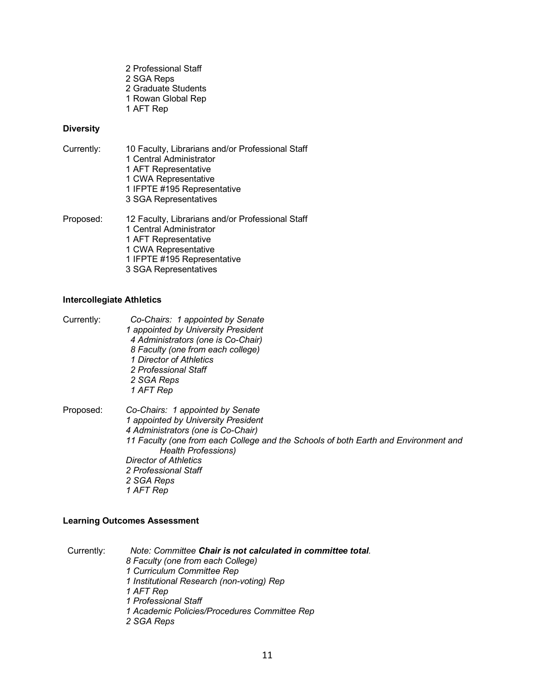2 Professional Staff 2 SGA Reps 2 Graduate Students 1 Rowan Global Rep 1 AFT Rep

#### **Diversity**

| Currently: | 10 Faculty, Librarians and/or Professional Staff<br>1 Central Administrator<br>1 AFT Representative<br>1 CWA Representative<br>1 IFPTE #195 Representative<br>3 SGA Representatives |
|------------|-------------------------------------------------------------------------------------------------------------------------------------------------------------------------------------|
| Proposed:  | 12 Faculty, Librarians and/or Professional Staff<br>1 Central Administrator<br>1 AFT Representative<br>1 CWA Representative<br>1 IFPTE #195 Representative<br>3 SGA Representatives |

#### **Intercollegiate Athletics**

| Currently: | Co-Chairs: 1 appointed by Senate<br>1 appointed by University President<br>4 Administrators (one is Co-Chair)<br>8 Faculty (one from each college)<br>1 Director of Athletics<br>2 Professional Staff<br>2 SGA Reps<br>1 AFT Rep                                                    |
|------------|-------------------------------------------------------------------------------------------------------------------------------------------------------------------------------------------------------------------------------------------------------------------------------------|
| Proposed:  | Co-Chairs: 1 appointed by Senate<br>1 appointed by University President<br>4 Administrators (one is Co-Chair)<br>11 Faculty (one from each College and the Schools of both Earth and Environment and<br>Health Professions)<br><b>Director of Athletics</b><br>2 Professional Staff |

**Learning Outcomes Assessment**

*2 SGA Reps 1 AFT Rep*

Currently: *Note: Committee Chair is not calculated in committee total. 8 Faculty (one from each College) 1 Curriculum Committee Rep 1 Institutional Research (non-voting) Rep 1 AFT Rep 1 Professional Staff 1 Academic Policies/Procedures Committee Rep 2 SGA Reps*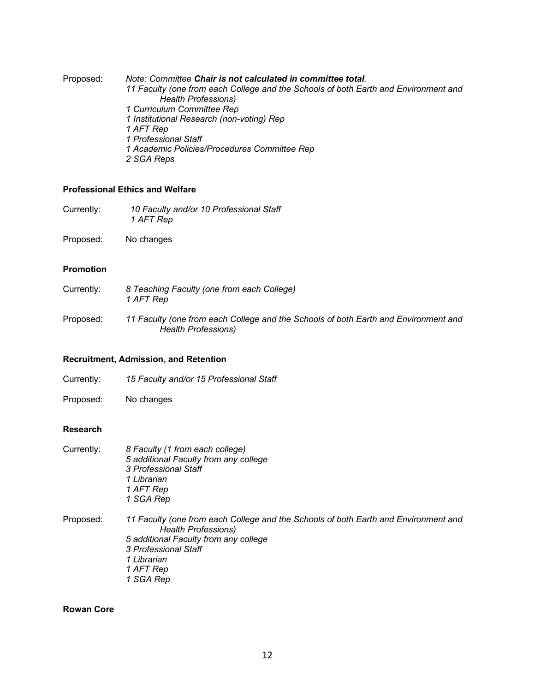Proposed: *Note: Committee Chair is not calculated in committee total. 11 Faculty (one from each College and the Schools of both Earth and Environment and Health Professions) 1 Curriculum Committee Rep 1 Institutional Research (non-voting) Rep 1 AFT Rep 1 Professional Staff 1 Academic Policies/Procedures Committee Rep 2 SGA Reps*

#### **Professional Ethics and Welfare**

Currently: *10 Faculty and/or 10 Professional Staff 1 AFT Rep*

Proposed: No changes

#### **Promotion**

- Currently: *8 Teaching Faculty (one from each College) 1 AFT Rep*
- Proposed: *11 Faculty (one from each College and the Schools of both Earth and Environment and Health Professions)*

#### **Recruitment, Admission, and Retention**

- Currently: *15 Faculty and/or 15 Professional Staff*
- Proposed: No changes

#### **Research**

- Currently: *8 Faculty (1 from each college) 5 additional Faculty from any college 3 Professional Staff 1 Librarian 1 AFT Rep 1 SGA Rep* Proposed: *11 Faculty (one from each College and the Schools of both Earth and Environment and Health Professions) 5 additional Faculty from any college 3 Professional Staff 1 Librarian*
	- *1 AFT Rep*

*1 SGA Rep*

**Rowan Core**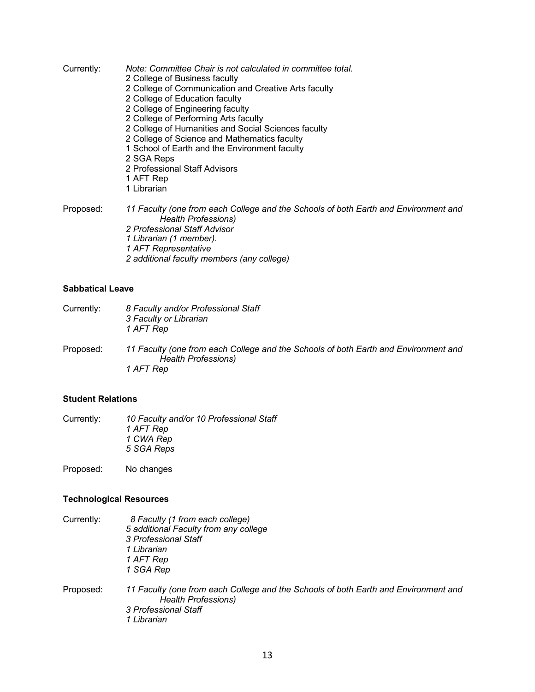- Currently: *Note: Committee Chair is not calculated in committee total.* 2 College of Business faculty 2 College of Communication and Creative Arts faculty 2 College of Education faculty 2 College of Engineering faculty 2 College of Performing Arts faculty 2 College of Humanities and Social Sciences faculty 2 College of Science and Mathematics faculty 1 School of Earth and the Environment faculty 2 SGA Reps 2 Professional Staff Advisors 1 AFT Rep 1 Librarian Proposed: *11 Faculty (one from each College and the Schools of both Earth and Environment and Health Professions) 2 Professional Staff Advisor 1 Librarian (1 member).*
	- *1 AFT Representative*
	- *2 additional faculty members (any college)*

### **Sabbatical Leave**

| Currently: | 8 Faculty and/or Professional Staff<br>3 Faculty or Librarian<br>1 AFT Rep                                              |
|------------|-------------------------------------------------------------------------------------------------------------------------|
| Proposed:  | 11 Faculty (one from each College and the Schools of both Earth and Environment and<br>Health Professions)<br>1 AFT Rep |

#### **Student Relations**

Currently: *10 Faculty and/or 10 Professional Staff 1 AFT Rep 1 CWA Rep 5 SGA Reps*

Proposed: No changes

#### **Technological Resources**

| Currently: | 8 Faculty (1 from each college)<br>5 additional Faculty from any college<br>3 Professional Staff<br>1 Librarian<br>1 AFT Rep<br>1 SGA Rep                |
|------------|----------------------------------------------------------------------------------------------------------------------------------------------------------|
| Proposed:  | 11 Faculty (one from each College and the Schools of both Earth and Environment and<br><b>Health Professions)</b><br>3 Professional Staff<br>1 Librarian |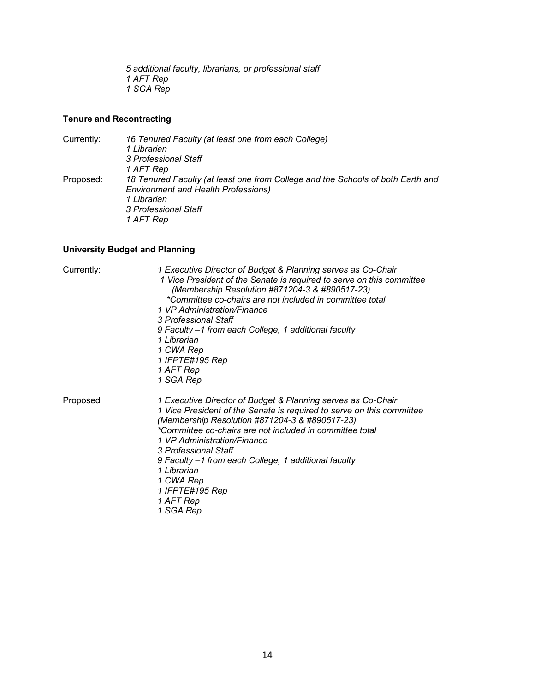*5 additional faculty, librarians, or professional staff 1 AFT Rep 1 SGA Rep*

#### **Tenure and Recontracting**

Currently: *16 Tenured Faculty (at least one from each College) 1 Librarian 3 Professional Staff 1 AFT Rep* Proposed: *18 Tenured Faculty (at least one from College and the Schools of both Earth and Environment and Health Professions) 1 Librarian 3 Professional Staff 1 AFT Rep*

#### **University Budget and Planning**

| Currently: | 1 Executive Director of Budget & Planning serves as Co-Chair<br>1 Vice President of the Senate is required to serve on this committee<br>(Membership Resolution #871204-3 & #890517-23)<br>*Committee co-chairs are not included in committee total<br>1 VP Administration/Finance<br>3 Professional Staff<br>9 Faculty -1 from each College, 1 additional faculty<br>1 Librarian<br>1 CWA Rep<br>1 IFPTE#195 Rep<br>1 AFT Rep<br>1 SGA Rep |
|------------|---------------------------------------------------------------------------------------------------------------------------------------------------------------------------------------------------------------------------------------------------------------------------------------------------------------------------------------------------------------------------------------------------------------------------------------------|
| Proposed   | 1 Executive Director of Budget & Planning serves as Co-Chair<br>1 Vice President of the Senate is required to serve on this committee<br>(Membership Resolution #871204-3 & #890517-23)<br>*Committee co-chairs are not included in committee total<br>1 VP Administration/Finance<br>3 Professional Staff<br>9 Faculty -1 from each College, 1 additional faculty<br>1 Librarian<br>1 CWA Rep<br>1 IFPTE#195 Rep<br>1 AFT Rep<br>1 SGA Rep |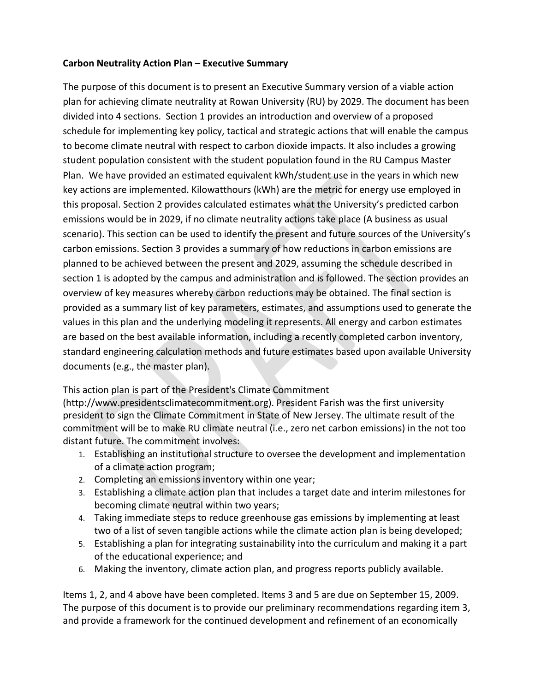## **Carbon Neutrality Action Plan – Executive Summary**

The purpose of this document is to present an Executive Summary version of a viable action plan for achieving climate neutrality at Rowan University (RU) by 2029. The document has been divided into 4 sections. Section 1 provides an introduction and overview of a proposed schedule for implementing key policy, tactical and strategic actions that will enable the campus to become climate neutral with respect to carbon dioxide impacts. It also includes a growing student population consistent with the student population found in the RU Campus Master Plan. We have provided an estimated equivalent kWh/student use in the years in which new key actions are implemented. Kilowatthours (kWh) are the metric for energy use employed in this proposal. Section 2 provides calculated estimates what the University's predicted carbon emissions would be in 2029, if no climate neutrality actions take place (A business as usual scenario). This section can be used to identify the present and future sources of the University's carbon emissions. Section 3 provides a summary of how reductions in carbon emissions are planned to be achieved between the present and 2029, assuming the schedule described in section 1 is adopted by the campus and administration and is followed. The section provides an overview of key measures whereby carbon reductions may be obtained. The final section is provided as a summary list of key parameters, estimates, and assumptions used to generate the values in this plan and the underlying modeling it represents. All energy and carbon estimates are based on the best available information, including a recently completed carbon inventory, standard engineering calculation methods and future estimates based upon available University documents (e.g., the master plan).

# This action plan is part of the President's Climate Commitment

(http://www.presidentsclimatecommitment.org). President Farish was the first university president to sign the Climate Commitment in State of New Jersey. The ultimate result of the commitment will be to make RU climate neutral (i.e., zero net carbon emissions) in the not too distant future. The commitment involves:

- 1. Establishing an institutional structure to oversee the development and implementation of a climate action program;
- 2. Completing an emissions inventory within one year;
- 3. Establishing a climate action plan that includes a target date and interim milestones for becoming climate neutral within two years;
- 4. Taking immediate steps to reduce greenhouse gas emissions by implementing at least two of a list of seven tangible actions while the climate action plan is being developed;
- 5. Establishing a plan for integrating sustainability into the curriculum and making it a part of the educational experience; and
- 6. Making the inventory, climate action plan, and progress reports publicly available.

Items 1, 2, and 4 above have been completed. Items 3 and 5 are due on September 15, 2009. The purpose of this document is to provide our preliminary recommendations regarding item 3, and provide a framework for the continued development and refinement of an economically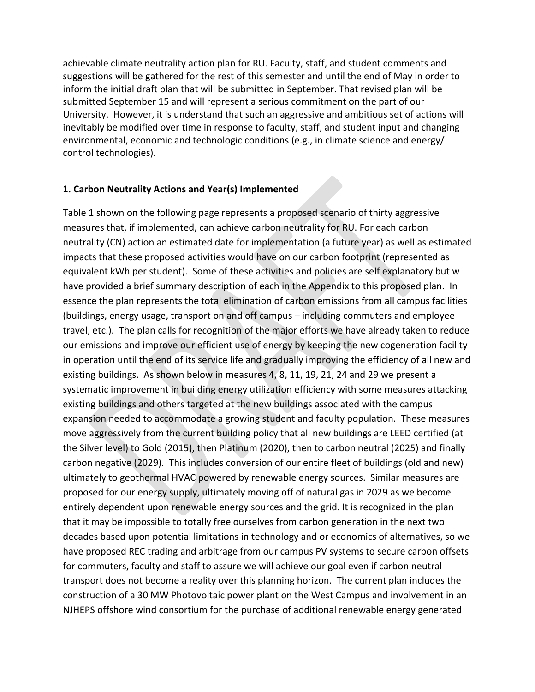achievable climate neutrality action plan for RU. Faculty, staff, and student comments and suggestions will be gathered for the rest of this semester and until the end of May in order to inform the initial draft plan that will be submitted in September. That revised plan will be submitted September 15 and will represent a serious commitment on the part of our University. However, it is understand that such an aggressive and ambitious set of actions will inevitably be modified over time in response to faculty, staff, and student input and changing environmental, economic and technologic conditions (e.g., in climate science and energy/ control technologies).

### **1. Carbon Neutrality Actions and Year(s) Implemented**

Table 1 shown on the following page represents a proposed scenario of thirty aggressive measures that, if implemented, can achieve carbon neutrality for RU. For each carbon neutrality (CN) action an estimated date for implementation (a future year) as well as estimated impacts that these proposed activities would have on our carbon footprint (represented as equivalent kWh per student). Some of these activities and policies are self explanatory but w have provided a brief summary description of each in the Appendix to this proposed plan. In essence the plan represents the total elimination of carbon emissions from all campus facilities (buildings, energy usage, transport on and off campus – including commuters and employee travel, etc.). The plan calls for recognition of the major efforts we have already taken to reduce our emissions and improve our efficient use of energy by keeping the new cogeneration facility in operation until the end of its service life and gradually improving the efficiency of all new and existing buildings. As shown below in measures 4, 8, 11, 19, 21, 24 and 29 we present a systematic improvement in building energy utilization efficiency with some measures attacking existing buildings and others targeted at the new buildings associated with the campus expansion needed to accommodate a growing student and faculty population. These measures move aggressively from the current building policy that all new buildings are LEED certified (at the Silver level) to Gold (2015), then Platinum (2020), then to carbon neutral (2025) and finally carbon negative (2029). This includes conversion of our entire fleet of buildings (old and new) ultimately to geothermal HVAC powered by renewable energy sources. Similar measures are proposed for our energy supply, ultimately moving off of natural gas in 2029 as we become entirely dependent upon renewable energy sources and the grid. It is recognized in the plan that it may be impossible to totally free ourselves from carbon generation in the next two decades based upon potential limitations in technology and or economics of alternatives, so we have proposed REC trading and arbitrage from our campus PV systems to secure carbon offsets for commuters, faculty and staff to assure we will achieve our goal even if carbon neutral transport does not become a reality over this planning horizon. The current plan includes the construction of a 30 MW Photovoltaic power plant on the West Campus and involvement in an NJHEPS offshore wind consortium for the purchase of additional renewable energy generated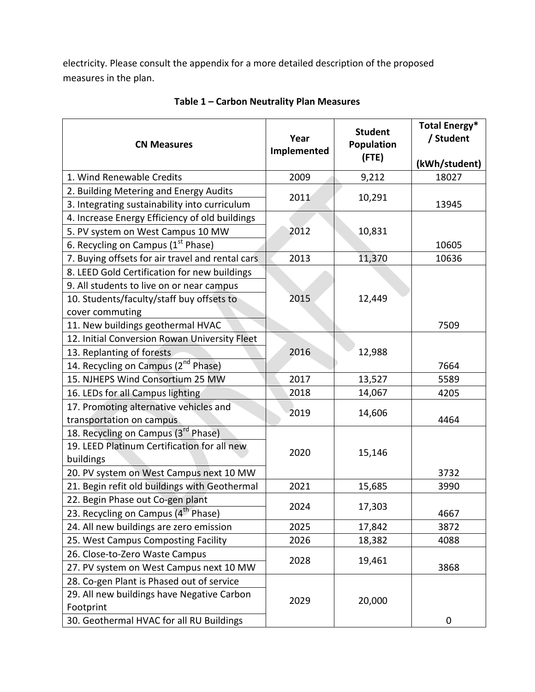electricity. Please consult the appendix for a more detailed description of the proposed measures in the plan.

| <b>CN Measures</b>                               | Year<br>Implemented | <b>Student</b><br>Population<br>(FTE) | <b>Total Energy*</b><br>/ Student<br>(kWh/student) |
|--------------------------------------------------|---------------------|---------------------------------------|----------------------------------------------------|
| 1. Wind Renewable Credits                        | 2009                | 9,212                                 | 18027                                              |
| 2. Building Metering and Energy Audits           |                     |                                       |                                                    |
| 3. Integrating sustainability into curriculum    | 2011                | 10,291                                | 13945                                              |
| 4. Increase Energy Efficiency of old buildings   |                     |                                       |                                                    |
| 5. PV system on West Campus 10 MW                | 2012                | 10,831                                |                                                    |
| 6. Recycling on Campus (1 <sup>st</sup> Phase)   |                     |                                       | 10605                                              |
| 7. Buying offsets for air travel and rental cars | 2013                | 11,370                                | 10636                                              |
| 8. LEED Gold Certification for new buildings     |                     |                                       |                                                    |
| 9. All students to live on or near campus        |                     |                                       |                                                    |
| 10. Students/faculty/staff buy offsets to        | 2015                | 12,449                                |                                                    |
| cover commuting                                  |                     |                                       |                                                    |
| 11. New buildings geothermal HVAC                |                     |                                       | 7509                                               |
| 12. Initial Conversion Rowan University Fleet    |                     |                                       |                                                    |
| 13. Replanting of forests                        | 2016                | 12,988                                |                                                    |
| 14. Recycling on Campus (2 <sup>nd</sup> Phase)  |                     |                                       | 7664                                               |
| 15. NJHEPS Wind Consortium 25 MW                 | 2017                | 13,527                                | 5589                                               |
| 16. LEDs for all Campus lighting                 | 2018                | 14,067                                | 4205                                               |
| 17. Promoting alternative vehicles and           | 2019                | 14,606                                |                                                    |
| transportation on campus                         |                     |                                       | 4464                                               |
| 18. Recycling on Campus (3rd Phase)              |                     |                                       |                                                    |
| 19. LEED Platinum Certification for all new      | 2020                | 15,146                                |                                                    |
| buildings                                        |                     |                                       |                                                    |
| 20. PV system on West Campus next 10 MW          |                     |                                       | 3732                                               |
| 21. Begin refit old buildings with Geothermal    | 2021                | 15,685                                | 3990                                               |
| 22. Begin Phase out Co-gen plant                 | 2024                | 17,303                                |                                                    |
| 23. Recycling on Campus (4 <sup>th</sup> Phase)  |                     |                                       | 4667                                               |
| 24. All new buildings are zero emission          | 2025                | 17,842                                | 3872                                               |
| 25. West Campus Composting Facility              | 2026                | 18,382                                | 4088                                               |
| 26. Close-to-Zero Waste Campus                   | 2028                | 19,461                                |                                                    |
| 27. PV system on West Campus next 10 MW          |                     |                                       | 3868                                               |
| 28. Co-gen Plant is Phased out of service        |                     |                                       |                                                    |
| 29. All new buildings have Negative Carbon       | 2029                | 20,000                                |                                                    |
| Footprint                                        |                     |                                       |                                                    |
| 30. Geothermal HVAC for all RU Buildings         |                     |                                       | 0                                                  |

# **Table 1 – Carbon Neutrality Plan Measures**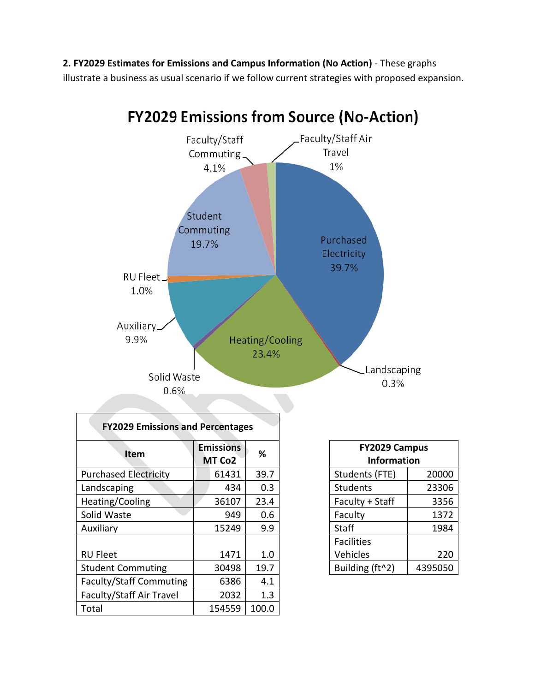**2. FY2029 Estimates for Emissions and Campus Information (No Action)** - These graphs illustrate a business as usual scenario if we follow current strategies with proposed expansion.



| <b>FY2029 Emissions and Percentages</b>               |        |       |                                            |
|-------------------------------------------------------|--------|-------|--------------------------------------------|
| <b>Emissions</b><br><b>Item</b><br>MT Co <sub>2</sub> |        | ℅     | <b>FY2029 Campus</b><br><b>Information</b> |
| <b>Purchased Electricity</b>                          | 61431  | 39.7  | Students (FTE)<br>20000                    |
| Landscaping                                           | 434    | 0.3   | <b>Students</b><br>23306                   |
| Heating/Cooling                                       | 36107  | 23.4  | Faculty + Staff<br>3356                    |
| Solid Waste                                           | 949    | 0.6   | 1372<br>Faculty                            |
| Auxiliary                                             | 15249  | 9.9   | <b>Staff</b><br>1984                       |
|                                                       |        |       | <b>Facilities</b>                          |
| <b>RU Fleet</b>                                       | 1471   | 1.0   | Vehicles<br>220                            |
| <b>Student Commuting</b>                              | 30498  | 19.7  | Building (ft^2)<br>4395050                 |
| <b>Faculty/Staff Commuting</b>                        | 6386   | 4.1   |                                            |
| Faculty/Staff Air Travel                              | 2032   | 1.3   |                                            |
| Total                                                 | 154559 | 100.0 |                                            |

| missions<br>MT Co2 |       | %    | <b>FY2029 Campus</b><br><b>Information</b> |  |         |
|--------------------|-------|------|--------------------------------------------|--|---------|
|                    | 61431 | 39.7 | Students (FTE)                             |  | 20000   |
|                    | 434   | 0.3  | <b>Students</b>                            |  | 23306   |
|                    | 36107 | 23.4 | Faculty + Staff                            |  | 3356    |
|                    | 949   | 0.6  | Faculty                                    |  | 1372    |
|                    | 15249 | 9.9  | <b>Staff</b>                               |  | 1984    |
|                    |       |      | <b>Facilities</b>                          |  |         |
|                    | 1471  | 1.0  | Vehicles                                   |  | 220     |
|                    | 30498 | 19.7 | Building (ft^2)                            |  | 4395050 |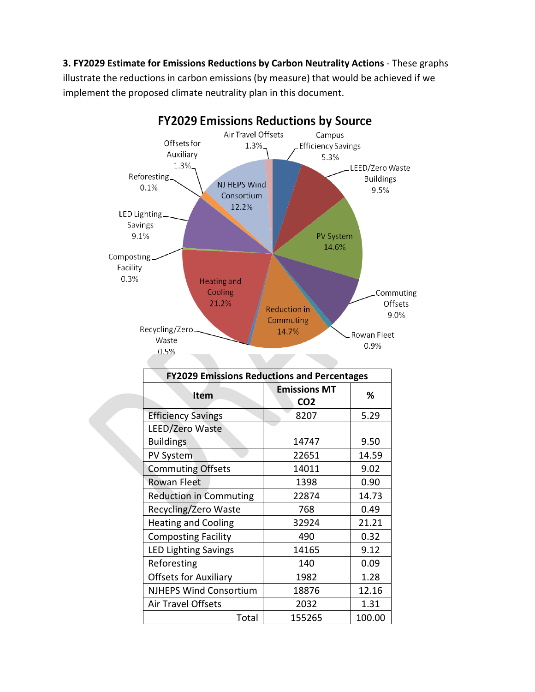**3. FY2029 Estimate for Emissions Reductions by Carbon Neutrality Actions** - These graphs illustrate the reductions in carbon emissions (by measure) that would be achieved if we implement the proposed climate neutrality plan in this document.

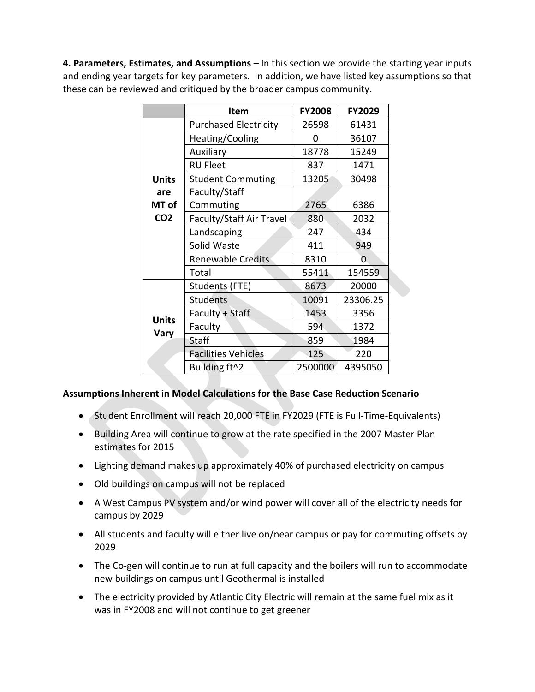**4. Parameters, Estimates, and Assumptions** – In this section we provide the starting year inputs and ending year targets for key parameters. In addition, we have listed key assumptions so that these can be reviewed and critiqued by the broader campus community.

|                 | <b>Item</b>                  | <b>FY2008</b> | <b>FY2029</b> |
|-----------------|------------------------------|---------------|---------------|
|                 | <b>Purchased Electricity</b> | 26598         | 61431         |
|                 | Heating/Cooling              | 0             | 36107         |
|                 | Auxiliary                    | 18778         | 15249         |
|                 | <b>RU Fleet</b>              | 837           | 1471          |
| <b>Units</b>    | <b>Student Commuting</b>     | 13205         | 30498         |
| are             | Faculty/Staff                |               |               |
| MT of           | Commuting                    | 2765          | 6386          |
| CO <sub>2</sub> | Faculty/Staff Air Travel     | 880           | 2032          |
|                 | Landscaping                  | 247           | 434           |
|                 | Solid Waste                  | 411           | 949           |
|                 | <b>Renewable Credits</b>     | 8310          | 0             |
|                 | Total                        | 55411         | 154559        |
|                 | Students (FTE)               | 8673          | 20000         |
|                 | <b>Students</b>              | 10091         | 23306.25      |
|                 | Faculty + Staff              | 1453          | 3356          |
| <b>Units</b>    | Faculty                      | 594           | 1372          |
| Vary            | Staff                        | 859           | 1984          |
|                 | <b>Facilities Vehicles</b>   | 125           | 220           |
|                 | Building ft^2                | 2500000       | 4395050       |

# **Assumptions Inherent in Model Calculations for the Base Case Reduction Scenario**

- Student Enrollment will reach 20,000 FTE in FY2029 (FTE is Full-Time-Equivalents)
- Building Area will continue to grow at the rate specified in the 2007 Master Plan estimates for 2015
- Lighting demand makes up approximately 40% of purchased electricity on campus
- Old buildings on campus will not be replaced
- A West Campus PV system and/or wind power will cover all of the electricity needs for campus by 2029
- All students and faculty will either live on/near campus or pay for commuting offsets by 2029
- The Co-gen will continue to run at full capacity and the boilers will run to accommodate new buildings on campus until Geothermal is installed
- The electricity provided by Atlantic City Electric will remain at the same fuel mix as it was in FY2008 and will not continue to get greener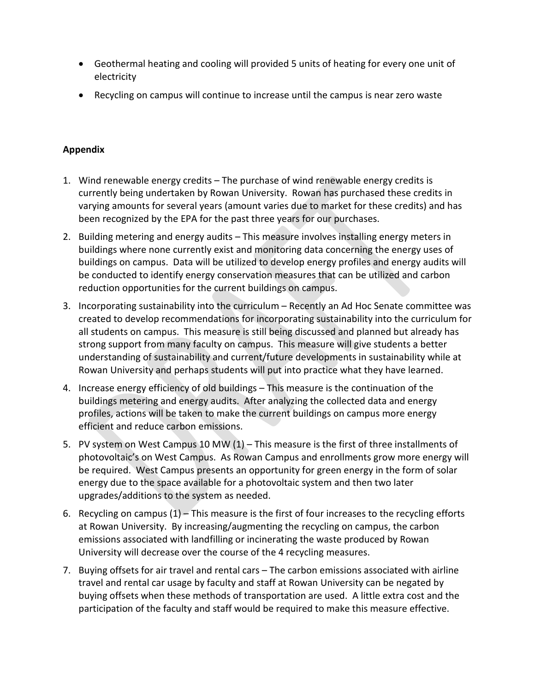- Geothermal heating and cooling will provided 5 units of heating for every one unit of electricity
- Recycling on campus will continue to increase until the campus is near zero waste

# **Appendix**

- 1. Wind renewable energy credits The purchase of wind renewable energy credits is currently being undertaken by Rowan University. Rowan has purchased these credits in varying amounts for several years (amount varies due to market for these credits) and has been recognized by the EPA for the past three years for our purchases.
- 2. Building metering and energy audits This measure involves installing energy meters in buildings where none currently exist and monitoring data concerning the energy uses of buildings on campus. Data will be utilized to develop energy profiles and energy audits will be conducted to identify energy conservation measures that can be utilized and carbon reduction opportunities for the current buildings on campus.
- 3. Incorporating sustainability into the curriculum Recently an Ad Hoc Senate committee was created to develop recommendations for incorporating sustainability into the curriculum for all students on campus. This measure is still being discussed and planned but already has strong support from many faculty on campus. This measure will give students a better understanding of sustainability and current/future developments in sustainability while at Rowan University and perhaps students will put into practice what they have learned.
- 4. Increase energy efficiency of old buildings This measure is the continuation of the buildings metering and energy audits. After analyzing the collected data and energy profiles, actions will be taken to make the current buildings on campus more energy efficient and reduce carbon emissions.
- 5. PV system on West Campus 10 MW (1) This measure is the first of three installments of photovoltaic's on West Campus. As Rowan Campus and enrollments grow more energy will be required. West Campus presents an opportunity for green energy in the form of solar energy due to the space available for a photovoltaic system and then two later upgrades/additions to the system as needed.
- 6. Recycling on campus (1) This measure is the first of four increases to the recycling efforts at Rowan University. By increasing/augmenting the recycling on campus, the carbon emissions associated with landfilling or incinerating the waste produced by Rowan University will decrease over the course of the 4 recycling measures.
- 7. Buying offsets for air travel and rental cars The carbon emissions associated with airline travel and rental car usage by faculty and staff at Rowan University can be negated by buying offsets when these methods of transportation are used. A little extra cost and the participation of the faculty and staff would be required to make this measure effective.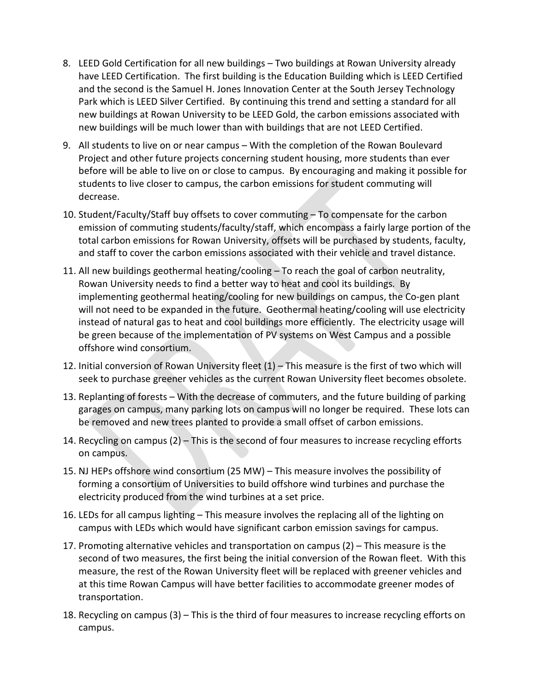- 8. LEED Gold Certification for all new buildings Two buildings at Rowan University already have LEED Certification. The first building is the Education Building which is LEED Certified and the second is the Samuel H. Jones Innovation Center at the South Jersey Technology Park which is LEED Silver Certified. By continuing this trend and setting a standard for all new buildings at Rowan University to be LEED Gold, the carbon emissions associated with new buildings will be much lower than with buildings that are not LEED Certified.
- 9. All students to live on or near campus With the completion of the Rowan Boulevard Project and other future projects concerning student housing, more students than ever before will be able to live on or close to campus. By encouraging and making it possible for students to live closer to campus, the carbon emissions for student commuting will decrease.
- 10. Student/Faculty/Staff buy offsets to cover commuting To compensate for the carbon emission of commuting students/faculty/staff, which encompass a fairly large portion of the total carbon emissions for Rowan University, offsets will be purchased by students, faculty, and staff to cover the carbon emissions associated with their vehicle and travel distance.
- 11. All new buildings geothermal heating/cooling To reach the goal of carbon neutrality, Rowan University needs to find a better way to heat and cool its buildings. By implementing geothermal heating/cooling for new buildings on campus, the Co-gen plant will not need to be expanded in the future. Geothermal heating/cooling will use electricity instead of natural gas to heat and cool buildings more efficiently. The electricity usage will be green because of the implementation of PV systems on West Campus and a possible offshore wind consortium.
- 12. Initial conversion of Rowan University fleet (1) This measure is the first of two which will seek to purchase greener vehicles as the current Rowan University fleet becomes obsolete.
- 13. Replanting of forests With the decrease of commuters, and the future building of parking garages on campus, many parking lots on campus will no longer be required. These lots can be removed and new trees planted to provide a small offset of carbon emissions.
- 14. Recycling on campus (2) This is the second of four measures to increase recycling efforts on campus.
- 15. NJ HEPs offshore wind consortium (25 MW) This measure involves the possibility of forming a consortium of Universities to build offshore wind turbines and purchase the electricity produced from the wind turbines at a set price.
- 16. LEDs for all campus lighting This measure involves the replacing all of the lighting on campus with LEDs which would have significant carbon emission savings for campus.
- 17. Promoting alternative vehicles and transportation on campus (2) This measure is the second of two measures, the first being the initial conversion of the Rowan fleet. With this measure, the rest of the Rowan University fleet will be replaced with greener vehicles and at this time Rowan Campus will have better facilities to accommodate greener modes of transportation.
- 18. Recycling on campus (3) This is the third of four measures to increase recycling efforts on campus.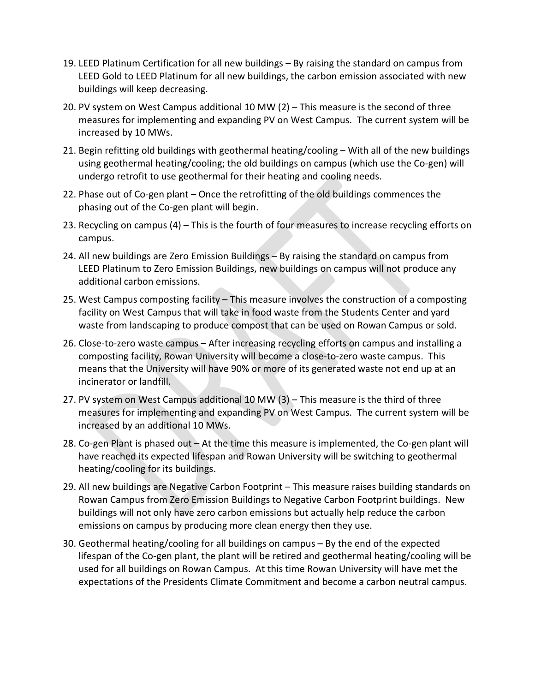- 19. LEED Platinum Certification for all new buildings By raising the standard on campus from LEED Gold to LEED Platinum for all new buildings, the carbon emission associated with new buildings will keep decreasing.
- 20. PV system on West Campus additional 10 MW (2) This measure is the second of three measures for implementing and expanding PV on West Campus. The current system will be increased by 10 MWs.
- 21. Begin refitting old buildings with geothermal heating/cooling With all of the new buildings using geothermal heating/cooling; the old buildings on campus (which use the Co-gen) will undergo retrofit to use geothermal for their heating and cooling needs.
- 22. Phase out of Co-gen plant Once the retrofitting of the old buildings commences the phasing out of the Co-gen plant will begin.
- 23. Recycling on campus (4) This is the fourth of four measures to increase recycling efforts on campus.
- 24. All new buildings are Zero Emission Buildings By raising the standard on campus from LEED Platinum to Zero Emission Buildings, new buildings on campus will not produce any additional carbon emissions.
- 25. West Campus composting facility This measure involves the construction of a composting facility on West Campus that will take in food waste from the Students Center and yard waste from landscaping to produce compost that can be used on Rowan Campus or sold.
- 26. Close-to-zero waste campus After increasing recycling efforts on campus and installing a composting facility, Rowan University will become a close-to-zero waste campus. This means that the University will have 90% or more of its generated waste not end up at an incinerator or landfill.
- 27. PV system on West Campus additional 10 MW (3) This measure is the third of three measures for implementing and expanding PV on West Campus. The current system will be increased by an additional 10 MWs.
- 28. Co-gen Plant is phased out At the time this measure is implemented, the Co-gen plant will have reached its expected lifespan and Rowan University will be switching to geothermal heating/cooling for its buildings.
- 29. All new buildings are Negative Carbon Footprint This measure raises building standards on Rowan Campus from Zero Emission Buildings to Negative Carbon Footprint buildings. New buildings will not only have zero carbon emissions but actually help reduce the carbon emissions on campus by producing more clean energy then they use.
- 30. Geothermal heating/cooling for all buildings on campus By the end of the expected lifespan of the Co-gen plant, the plant will be retired and geothermal heating/cooling will be used for all buildings on Rowan Campus. At this time Rowan University will have met the expectations of the Presidents Climate Commitment and become a carbon neutral campus.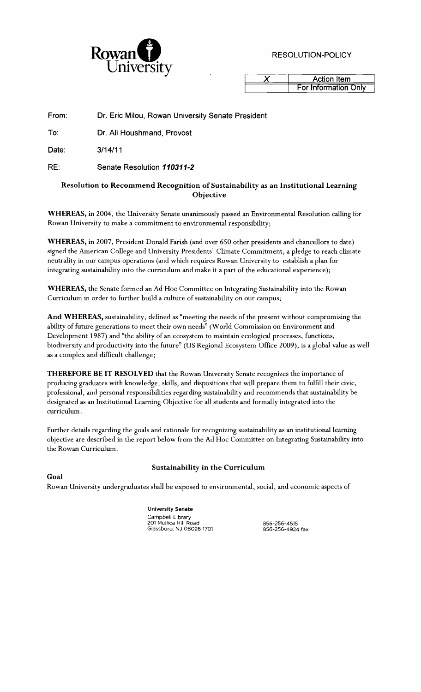

| <b>Action Item</b>   |
|----------------------|
| For Information Only |

From: Dr. Eric Milou, Rowan University Senate President

To: Dr. Ali Houshmand, Provost

Date: 3/14/11

RE: Senate Resolution *110311-2* 

## Resolution to Recommend Recognition of Sustainability as an Institutional Learning **Objective**

WHEREAS, in 2004, the University Senate unanimously passed an Environmental Resolution calling for Rowan University to make a commitment to environmental responsibility;

WHEREAS, in 2007, President Donald Farish (and over 650 other presidents and chancellors to date) signed the American College and University Presidents' Climate Commitment, a pledge to reach climate neutrality in our campus operations (and which requires Rowan University to establish a plan for integrating sustainability into the curriculum and make it a part of the educational experience);

WHEREAS, the Senate formed an Ad Hoc Committee on Integrating Sustainability into the Rowan Curriculum in order to further build a culture of sustainability on our campus;

And WHEREAS, sustainability, defined as "meeting the needs of the present without compromising the ability of future generations to meet their own needs" (World Commission on Environment and Development 1987) and "the ability of an ecosystem to maintain ecological processes, functions, biodiversity and productivity into the future" (US Regional Ecosystem Office 2009), is a global value as well as a complex and difficult challenge;

THEREFORE BE IT RESOLVED that the Rowan University Senate recognizes the importance of producing graduates with knowledge, skills, and dispositions that will prepare them to fulfill their civic, professional, and personal responsibilities regarding sustainability and recommends that sustainability be designated as an Institutional Learning Objective for all students and formally integrated into the curriculum.

Further details regarding the goals and rationale for recognizing sustainability as an institutional learning objective are described in the report below from the Ad Hoc Committee on Integrating Sustainability into the Rowan Curriculum.

# Sustainability in the Curriculum

Rowan University undergraduates shall be exposed to environmental, social, and economic aspects of

University Senate Campbell Library 201 Mullica Hill Road 856-256-4515 Glassboro, NJ 08028-1701

# Goal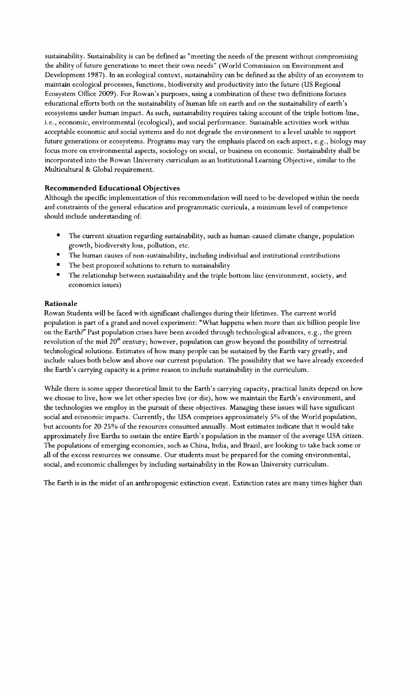sustainability. Sustainability is can be defined as "meeting the needs of the present without compromising the ability of future generations to meet their own needs" (World Commission on Environment and Development 1987). In an ecological context, sustainability can be defined as the ability of an ecosystem to maintain ecological processes, functions, biodiversity and productivity into the future (US Regional Ecosystem Office 2009). For Rowan's purposes, using a combination ofthese two definitions focuses educational efforts both on the sustainability of human life on earth and on the sustainability of earth's ecosystems under human impact. As such, sustainability requires taking account of the triple bottom-line, i.e., economic, environmental (ecological), and social performance. Sustainable activities work within acceptable economic and social systems and do not degrade the environment to a level unable to support future generations or ecosystems. Programs may vary the emphasis placed on each aspect, e.g., biology may focus more on environmental aspects, sociology on social, or business on economic. Sustainability shall be incorporated into the Rowan University curriculum as an Institutional Learning Objective, similar to the Multicultural & Global requirement.

### **Recommended Educational Objectives**

Although the specific implementation of this recommendation will need to be developed within the needs and constraints of the general education and programmatic curricula, a minimum level of competence should include understanding of:

- The current situation regarding sustainability, such as human-caused climate change, population growth, biodiversity loss, pollution, etc.
- The human causes of non-sustainability, including individual and institutional contributions
- The best proposed solutions to return to sustainability
- The relationship between sustainability and the triple bottom line (environment, society, and economics issues)

### **Rationale**

Rowan Students will be faced with significant challenges during their lifetimes. The current world population is part of a grand and novel experiment: "What happens when more than six billion people live on the Earth?" Past population crises have been avoided through technological advances, e.g., the green revolution of the mid  $20<sup>th</sup>$  century; however, population can grow beyond the possibility of terrestrial technological solutions. Estimates of how many people can be sustained by the Earth vary greatly, and include values both below and above our current population. The possibility that we have already exceeded the Earth's carrying capacity is a prime reason to include sustainability in the curriculum.

While there is some upper theoretical limit to the Earth's carrying capacity, practical limits depend on how we choose to live, how we let other species live (or die), how we maintain the Earth's environment, and the technologies we employ in the pursuit of these objectives. Managing these issues will have significant social and economic impacts. Currently, the USA comprises approximately 5% of the World population, but accounts for 20-25% of the resources consumed annually. Most estimates indicate that it would take approximately five Earths to sustain the entire Earth's population in the manner of the average USA citizen. The populations of emerging economies, such as China, India, and Brazil, are looking to take back some or all of the excess resources we consume. Our students must be prepared for the coming environmental, social, and economic challenges by including sustainability in the Rowan University curriculum.

The Earth is in the midst of an anthropogenic extinction event. Extinction rates are many times higher than